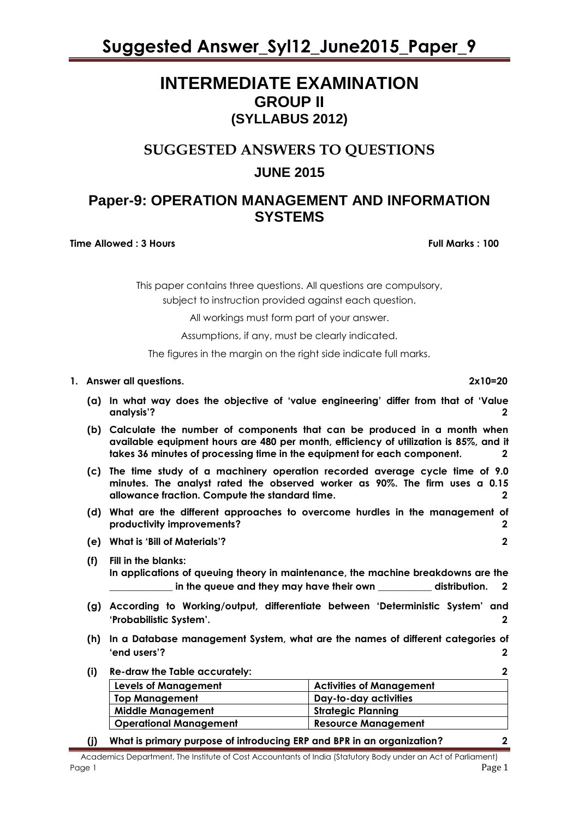### **INTERMEDIATE EXAMINATION GROUP II (SYLLABUS 2012)**

### **SUGGESTED ANSWERS TO QUESTIONS JUNE 2015**

### **Paper-9: OPERATION MANAGEMENT AND INFORMATION SYSTEMS**

**Time Allowed : 3 Hours Full Marks Full Marks : 100** 

This paper contains three questions. All questions are compulsory,

subject to instruction provided against each question.

All workings must form part of your answer.

Assumptions, if any, must be clearly indicated.

The figures in the margin on the right side indicate full marks.

#### **1. Answer all questions. 2x10=20**

- **(a) In what way does the objective of "value engineering" differ from that of "Value analysis"? 2**
- **(b) Calculate the number of components that can be produced in a month when available equipment hours are 480 per month, efficiency of utilization is 85%, and it takes 36 minutes of processing time in the equipment for each component. 2**
- **(c) The time study of a machinery operation recorded average cycle time of 9.0 minutes. The analyst rated the observed worker as 90%. The firm uses a 0.15 allowance fraction. Compute the standard time. 2**
- **(d) What are the different approaches to overcome hurdles in the management of productivity improvements? 2**
- **(e) What is "Bill of Materials"? 2**
- **(f) Fill in the blanks: In applications of queuing theory in maintenance, the machine breakdowns are the \_\_\_\_\_\_\_\_\_\_\_\_\_ in the queue and they may have their own \_\_\_\_\_\_\_\_\_\_\_ distribution. 2**
- **(g) According to Working/output, differentiate between "Deterministic System" and "Probabilistic System". 2**
- **(h) In a Database management System, what are the names of different categories of "end users"? 2**
- **(i) Re-draw the Table accurately: 2 Levels of Management Activities of Management Top Management Day-to-day activities**  Middle Management **Strategic Planning Operational Management Resource Management**
- **(j) What is primary purpose of introducing ERP and BPR in an organization? 2**

Academics Department, The Institute of Cost Accountants of India (Statutory Body under an Act of Parliament) Page 1 Page 1 Page 1 Page 1 Page 1 Page 1 Page 1 Page 1 Page 1 Page 1 Page 1 Page 1 Page 1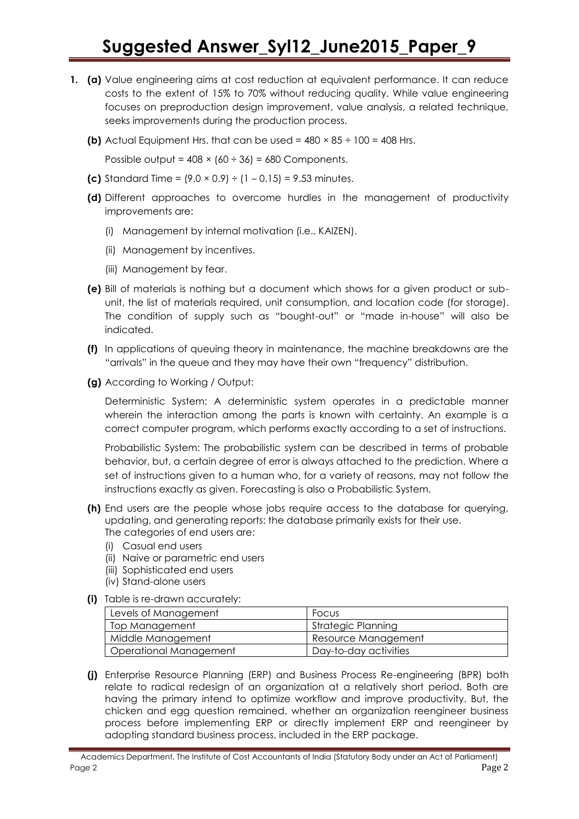- **1. (a)** Value engineering aims at cost reduction at equivalent performance. It can reduce costs to the extent of 15% to 70% without reducing quality. While value engineering focuses on preproduction design improvement, value analysis, a related technique, seeks improvements during the production process.
	- **(b)** Actual Equipment Hrs. that can be used =  $480 \times 85 \div 100 = 408$  Hrs.

Possible output =  $408 \times (60 \div 36) = 680$  Components.

- **(c)** Standard Time =  $(9.0 \times 0.9) \div (1 0.15) = 9.53$  minutes.
- **(d)** Different approaches to overcome hurdles in the management of productivity improvements are:
	- (i) Management by internal motivation (i.e., KAIZEN).
	- (ii) Management by incentives.
	- (iii) Management by fear.
- **(e)** Bill of materials is nothing but a document which shows for a given product or subunit, the list of materials required, unit consumption, and location code (for storage). The condition of supply such as "bought-out" or "made in-house" will also be indicated.
- **(f)** In applications of queuing theory in maintenance, the machine breakdowns are the "arrivals" in the queue and they may have their own "frequency" distribution.
- **(g)** According to Working / Output:

Deterministic System: A deterministic system operates in a predictable manner wherein the interaction among the parts is known with certainty. An example is a correct computer program, which performs exactly according to a set of instructions.

Probabilistic System: The probabilistic system can be described in terms of probable behavior, but, a certain degree of error is always attached to the prediction. Where a set of instructions given to a human who, for a variety of reasons, may not follow the instructions exactly as given. Forecasting is also a Probabilistic System.

- **(h)** End users are the people whose jobs require access to the database for querying, updating, and generating reports; the database primarily exists for their use. The categories of end users are:
	- (i) Casual end users
	- (ii) Naive or parametric end users
	- (iii) Sophisticated end users
	- (iv) Stand-alone users
- **(i)** Table is re-drawn accurately:

| Levels of Management   | Focus                 |
|------------------------|-----------------------|
| Top Management         | Strategic Planning    |
| Middle Management      | Resource Management   |
| Operational Management | Day-to-day activities |

**(j)** Enterprise Resource Planning (ERP) and Business Process Re-engineering (BPR) both relate to radical redesign of an organization at a relatively short period. Both are having the primary intend to optimize workflow and improve productivity. But, the chicken and egg question remained, whether an organization reengineer business process before implementing ERP or directly implement ERP and reengineer by adopting standard business process, included in the ERP package.

Academics Department, The Institute of Cost Accountants of India (Statutory Body under an Act of Parliament) Page 2 Page 2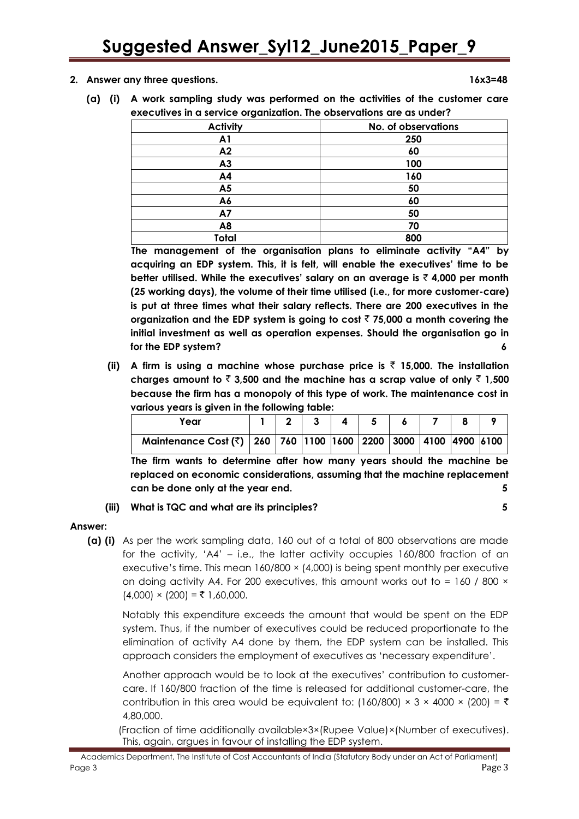**2. Answer any three questions. 16x3=48**

**(a) (i) A work sampling study was performed on the activities of the customer care executives in a service organization. The observations are as under?**

| -               |                     |
|-----------------|---------------------|
| <b>Activity</b> | No. of observations |
| A <sub>1</sub>  | 250                 |
| A2              | 60                  |
| A3              | 100                 |
| A4              | 160                 |
| A <sub>5</sub>  | 50                  |
| A6              | 60                  |
| A7              | 50                  |
| A <sub>8</sub>  | 70                  |
| Total           | 800                 |

**The management of the organisation plans to eliminate activity "A4" by acquiring an EDP system. This, it is felt, will enable the executives" time to be better utilised. While the executives" salary on an average is** ` **4,000 per month (25 working days), the volume of their time utilised (i.e., for more customer-care) is put at three times what their salary reflects. There are 200 executives in the organization and the EDP system is going to cost** ` **75,000 a month covering the initial investment as well as operation expenses. Should the organisation go in for the EDP system? 6**

**(ii) A firm is using a machine whose purchase price is** ` **15,000. The installation**  charges amount to  $\bar{\tau}$  3,500 and the machine has a scrap value of only  $\bar{\tau}$  1,500 **because the firm has a monopoly of this type of work. The maintenance cost in various years is given in the following table:**

| Year                                                                              |  |  |  |  |  |
|-----------------------------------------------------------------------------------|--|--|--|--|--|
| Maintenance Cost (₹)   260   760   1100   1600   2200   3000   4100   4900   6100 |  |  |  |  |  |

**The firm wants to determine after how many years should the machine be replaced on economic considerations, assuming that the machine replacement can be done only at the year end. 5**

#### **(iii) What is TQC and what are its principles? 5**

#### **Answer:**

**(a) (i)** As per the work sampling data, 160 out of a total of 800 observations are made for the activity, "A4" – i.e., the latter activity occupies 160/800 fraction of an executive's time. This mean  $160/800 \times (4,000)$  is being spent monthly per executive on doing activity A4. For 200 executives, this amount works out to =  $160 / 800 \times$  $(4,000) \times (200) = \overline{5} \cdot 1,60,000$ .

Notably this expenditure exceeds the amount that would be spent on the EDP system. Thus, if the number of executives could be reduced proportionate to the elimination of activity A4 done by them, the EDP system can be installed. This approach considers the employment of executives as "necessary expenditure".

Another approach would be to look at the executives" contribution to customercare. If 160/800 fraction of the time is released for additional customer-care, the contribution in this area would be equivalent to: (160/800)  $\times$  3  $\times$  4000  $\times$  (200) =  $\overline{\tau}$ 4,80,000.

(Fraction of time additionally available×3×(Rupee Value)×(Number of executives). This, again, argues in favour of installing the EDP system.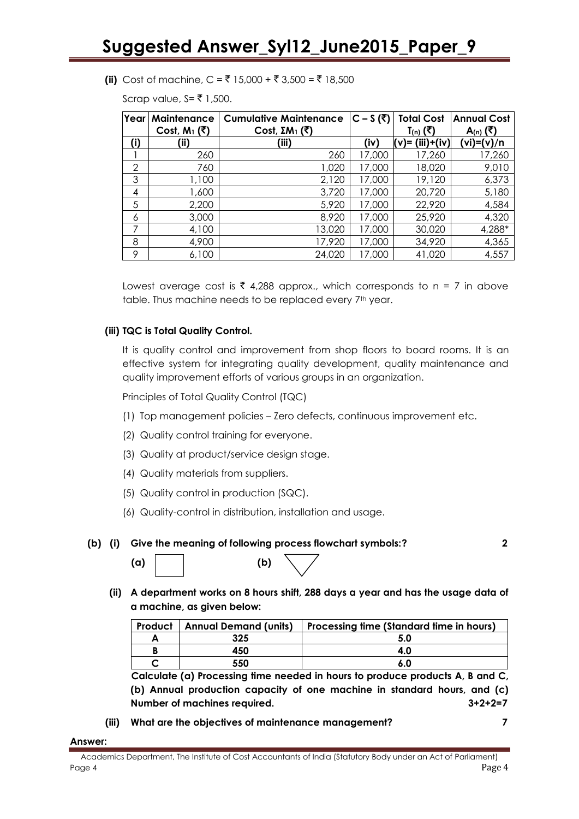#### **(ii)** Cost of machine,  $C = ₹ 15,000 + ₹ 3,500 = ₹ 18,500$

Scrap value,  $S = ₹ 1,500$ .

| Year | Maintenance               | <b>Cumulative Maintenance</b> | $C-S($ हैं) | <b>Total Cost</b>    | <b>Annual Cost</b> |
|------|---------------------------|-------------------------------|-------------|----------------------|--------------------|
|      | Cost, $M_1(\overline{5})$ | Cost, $EM_1$ (₹)              |             | T <sub>(n)</sub> (₹) | <u>A(n)</u> (₹)    |
| (i)  | (ii)                      | (iii)                         | (iv)        | (v)= (iii)+(iv)      | (vi)=(v)/n         |
|      | 260                       | 260                           | 17,000      | 17,260               | 17,260             |
| 2    | 760                       | 1,020                         | 17,000      | 18,020               | 9,010              |
| 3    | 1,100                     | 2,120                         | 17,000      | 19,120               | 6,373              |
| 4    | 1,600                     | 3,720                         | 17,000      | 20,720               | 5,180              |
| 5    | 2,200                     | 5,920                         | 17,000      | 22,920               | 4,584              |
| 6    | 3,000                     | 8,920                         | 17,000      | 25,920               | 4,320              |
| 7    | 4,100                     | 13,020                        | 17,000      | 30,020               | 4,288*             |
| 8    | 4,900                     | 17,920                        | 17,000      | 34,920               | 4,365              |
| 9    | 6,100                     | 24,020                        | 17,000      | 41,020               | 4,557              |

Lowest average cost is  $\bar{\tau}$  4,288 approx., which corresponds to n = 7 in above table. Thus machine needs to be replaced every 7<sup>th</sup> year.

#### **(iii) TQC is Total Quality Control.**

It is quality control and improvement from shop floors to board rooms. It is an effective system for integrating quality development, quality maintenance and quality improvement efforts of various groups in an organization.

Principles of Total Quality Control (TQC)

- (1) Top management policies Zero defects, continuous improvement etc.
- (2) Quality control training for everyone.
- (3) Quality at product/service design stage.
- (4) Quality materials from suppliers.
- (5) Quality control in production (SQC).
- (6) Quality-control in distribution, installation and usage.

#### **(b) (i) Give the meaning of following process flowchart symbols:? 2**

| (a) | (b) |
|-----|-----|
|-----|-----|

**(ii) A department works on 8 hours shift, 288 days a year and has the usage data of a machine, as given below:**

| <b>Product   Annual Demand (units)</b> | Processing time (Standard time in hours) |
|----------------------------------------|------------------------------------------|
| 325                                    |                                          |
| 450                                    | 4.O                                      |
| 550                                    | 6.0                                      |

**Calculate (a) Processing time needed in hours to produce products A, B and C, (b) Annual production capacity of one machine in standard hours, and (c) Number of machines required. 3+2+2=7**

**(iii) What are the objectives of maintenance management? 7**

**Answer:**

Academics Department, The Institute of Cost Accountants of India (Statutory Body under an Act of Parliament) Page 4 Page 4 Page 1 Page 1 Page 1 Page 1 Page 1 Page 1 Page 1 Page 1 Page 1 Page 1 Page 1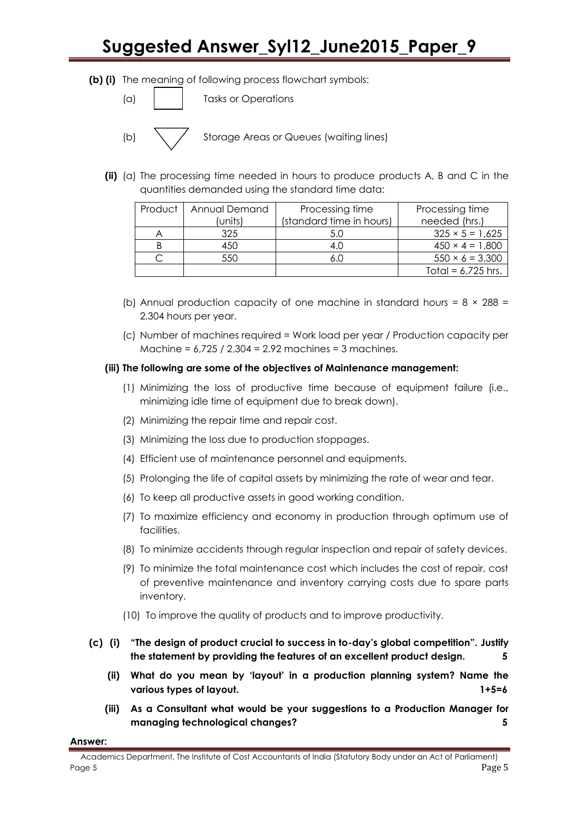**(b) (i)** The meaning of following process flowchart symbols:

(a) Tasks or Operations

(b)  $\setminus$  / Storage Areas or Queues (waiting lines)

**(ii)** (a) The processing time needed in hours to produce products A, B and C in the quantities demanded using the standard time data:

| Annual Demand<br>Product |         | Processing time          | Processing time        |  |
|--------------------------|---------|--------------------------|------------------------|--|
|                          | (units) | (standard time in hours) | needed (hrs.)          |  |
|                          | 325     | 5.0                      | $325 \times 5 = 1,625$ |  |
|                          | 450     | 4.0                      | $450 \times 4 = 1,800$ |  |
|                          | 550     |                          | $550 \times 6 = 3,300$ |  |
|                          |         |                          | Total = $6,725$ hrs.   |  |

- (b) Annual production capacity of one machine in standard hours =  $8 \times 288$  = 2,304 hours per year.
- (c) Number of machines required = Work load per year / Production capacity per Machine = 6,725 / 2,304 = 2.92 machines = 3 machines.

#### **(iii) The following are some of the objectives of Maintenance management:**

- (1) Minimizing the loss of productive time because of equipment failure (i.e., minimizing idle time of equipment due to break down).
- (2) Minimizing the repair time and repair cost.
- (3) Minimizing the loss due to production stoppages.
- (4) Efficient use of maintenance personnel and equipments.
- (5) Prolonging the life of capital assets by minimizing the rate of wear and tear.
- (6) To keep all productive assets in good working condition.
- (7) To maximize efficiency and economy in production through optimum use of facilities.
- (8) To minimize accidents through regular inspection and repair of safety devices.
- (9) To minimize the total maintenance cost which includes the cost of repair, cost of preventive maintenance and inventory carrying costs due to spare parts inventory.
- (10) To improve the quality of products and to improve productivity.
- **(c) (i) "The design of product crucial to success in to-day"s global competition". Justify the statement by providing the features of an excellent product design. 5**
	- **(ii) What do you mean by "layout" in a production planning system? Name the various types of layout. 1+5=6**
	- **(iii) As a Consultant what would be your suggestions to a Production Manager for managing technological changes? 5**

#### **Answer:**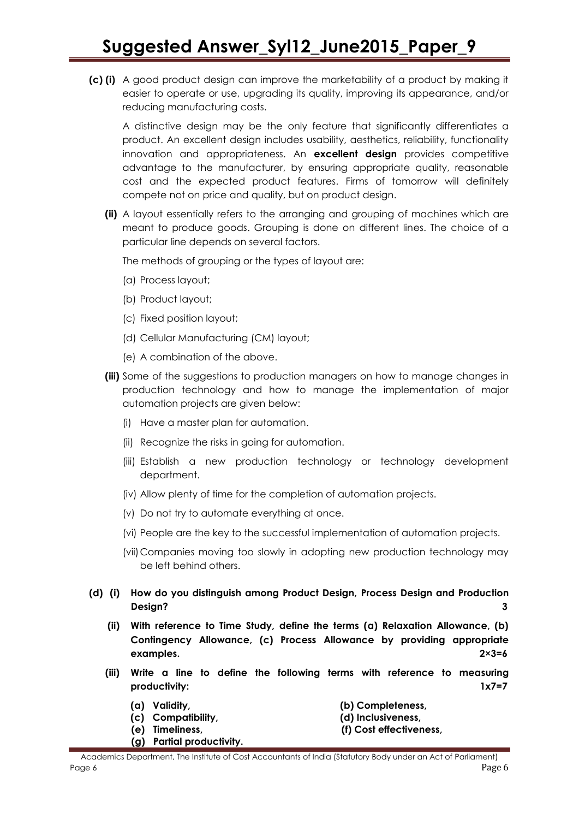**(c) (i)** A good product design can improve the marketability of a product by making it easier to operate or use, upgrading its quality, improving its appearance, and/or reducing manufacturing costs.

A distinctive design may be the only feature that significantly differentiates a product. An excellent design includes usability, aesthetics, reliability, functionality innovation and appropriateness. An **excellent design** provides competitive advantage to the manufacturer, by ensuring appropriate quality, reasonable cost and the expected product features. Firms of tomorrow will definitely compete not on price and quality, but on product design.

**(ii)** A layout essentially refers to the arranging and grouping of machines which are meant to produce goods. Grouping is done on different lines. The choice of a particular line depends on several factors.

The methods of grouping or the types of layout are:

- (a) Process layout;
- (b) Product layout;
- (c) Fixed position layout;
- (d) Cellular Manufacturing (CM) layout;
- (e) A combination of the above.
- **(iii)** Some of the suggestions to production managers on how to manage changes in production technology and how to manage the implementation of major automation projects are given below:
	- (i) Have a master plan for automation.
	- (ii) Recognize the risks in going for automation.
	- (iii) Establish a new production technology or technology development department.
	- (iv) Allow plenty of time for the completion of automation projects.
	- (v) Do not try to automate everything at once.
	- (vi) People are the key to the successful implementation of automation projects.
	- (vii)Companies moving too slowly in adopting new production technology may be left behind others.
- **(d) (i) How do you distinguish among Product Design, Process Design and Production Design? 3**
	- **(ii) With reference to Time Study, define the terms (a) Relaxation Allowance, (b) Contingency Allowance, (c) Process Allowance by providing appropriate examples. 2×3=6**
	- **(iii) Write a line to define the following terms with reference to measuring productivity: 1x7=7**
		-
		- **(a) Validity, (b) Completeness,**
		- **(c) Compatibility, (d) Inclusiveness,**
		- **(e) Timeliness, (f) Cost effectiveness,**
		- **(g) Partial productivity.**
- Academics Department, The Institute of Cost Accountants of India (Statutory Body under an Act of Parliament) Page 6 Page 6 Page 1 Page 1 Page 1 Page 1 Page 1 Page 1 Page 1 Page 1 Page 1 Page 1 Page 1 Page 1 Page 1 Page 1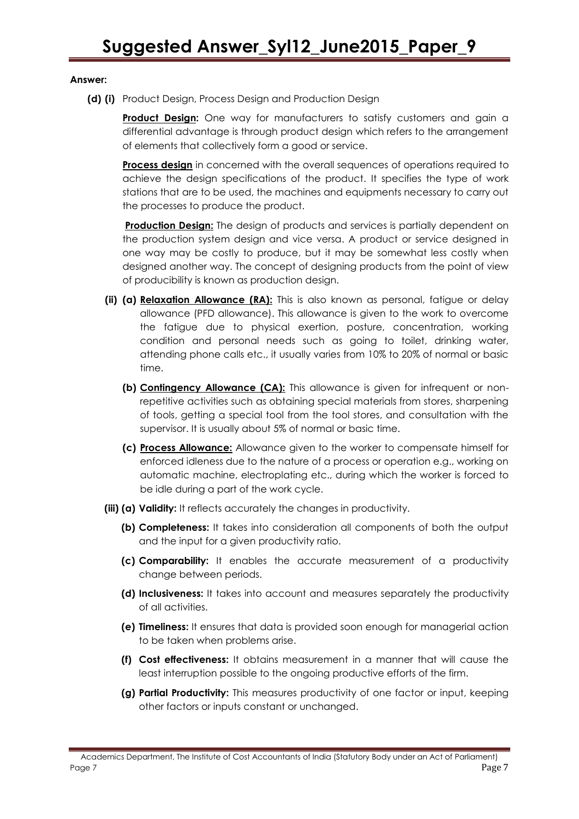#### **Answer:**

**(d) (i)** Product Design, Process Design and Production Design

**Product Design:** One way for manufacturers to satisfy customers and gain a differential advantage is through product design which refers to the arrangement of elements that collectively form a good or service.

**Process design** in concerned with the overall sequences of operations required to achieve the design specifications of the product. It specifies the type of work stations that are to be used, the machines and equipments necessary to carry out the processes to produce the product.

**Production Design:** The design of products and services is partially dependent on the production system design and vice versa. A product or service designed in one way may be costly to produce, but it may be somewhat less costly when designed another way. The concept of designing products from the point of view of producibility is known as production design.

- **(ii) (a) Relaxation Allowance (RA):** This is also known as personal, fatigue or delay allowance (PFD allowance). This allowance is given to the work to overcome the fatigue due to physical exertion, posture, concentration, working condition and personal needs such as going to toilet, drinking water, attending phone calls etc., it usually varies from 10% to 20% of normal or basic time.
	- **(b) Contingency Allowance (CA):** This allowance is given for infrequent or nonrepetitive activities such as obtaining special materials from stores, sharpening of tools, getting a special tool from the tool stores, and consultation with the supervisor. It is usually about 5% of normal or basic time.
	- **(c) Process Allowance:** Allowance given to the worker to compensate himself for enforced idleness due to the nature of a process or operation e.g., working on automatic machine, electroplating etc., during which the worker is forced to be idle during a part of the work cycle.
- **(iii) (a) Validity:** It reflects accurately the changes in productivity.
	- **(b) Completeness:** It takes into consideration all components of both the output and the input for a given productivity ratio.
	- **(c) Comparability:** It enables the accurate measurement of a productivity change between periods.
	- **(d) Inclusiveness:** It takes into account and measures separately the productivity of all activities.
	- **(e) Timeliness:** It ensures that data is provided soon enough for managerial action to be taken when problems arise.
	- **(f) Cost effectiveness:** It obtains measurement in a manner that will cause the least interruption possible to the ongoing productive efforts of the firm.
	- **(g) Partial Productivity:** This measures productivity of one factor or input, keeping other factors or inputs constant or unchanged.

Academics Department, The Institute of Cost Accountants of India (Statutory Body under an Act of Parliament) Page 7 Page 7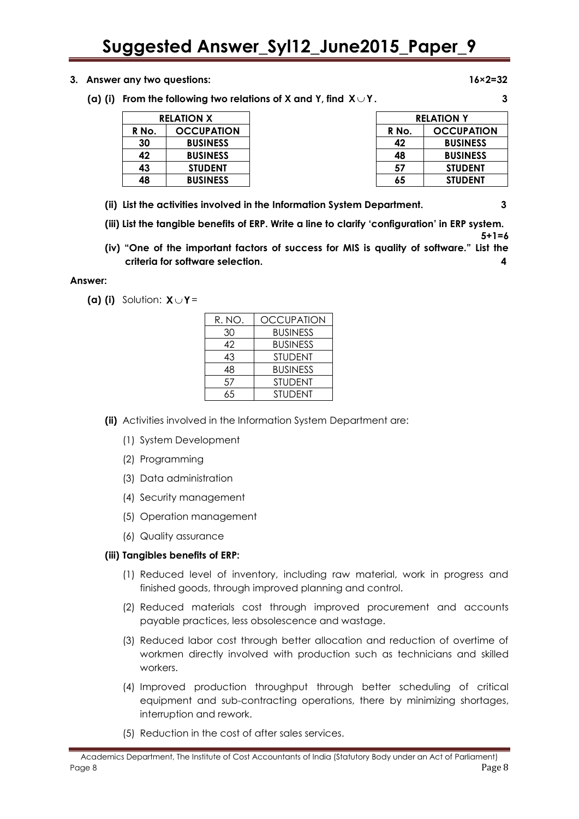- **3. Answer any two questions: 16×2=32**
	- (a) (i) From the following two relations of X and Y, find  $X \cup Y$  .  $\hspace{1.6cm}$   $\hspace{1.6cm}$

| <b>RELATION X</b> |                   |       | <b>RELATION Y</b> |
|-------------------|-------------------|-------|-------------------|
| R No.             | <b>OCCUPATION</b> | R No. | <b>OCCUPATION</b> |
| 30                | <b>BUSINESS</b>   | 42    | <b>BUSINESS</b>   |
| 42                | <b>BUSINESS</b>   | 48    | <b>BUSINESS</b>   |
| 43                | <b>STUDENT</b>    | 57    | <b>STUDENT</b>    |
| 48                | <b>BUSINESS</b>   | 65    | <b>STUDENT</b>    |

- **(ii) List the activities involved in the Information System Department. 3**
- **(iii) List the tangible benefits of ERP. Write a line to clarify "configuration" in ERP system.**
- **(iv) "One of the important factors of success for MIS is quality of software." List the criteria for software selection. 4**

#### **Answer:**

**(a) (i)** Solution:  $X \cup Y =$ 

| R. NO. | <b>OCCUPATION</b> |
|--------|-------------------|
| 30     | <b>BUSINESS</b>   |
| 42     | <b>BUSINESS</b>   |
| 43     | <b>STUDENT</b>    |
| 48     | <b>BUSINESS</b>   |
| 57     | <b>STUDENT</b>    |
| 65     | <b>STUDENT</b>    |

- **(ii)** Activities involved in the Information System Department are:
	- (1) System Development
	- (2) Programming
	- (3) Data administration
	- (4) Security management
	- (5) Operation management
	- (6) Quality assurance

#### **(iii) Tangibles benefits of ERP:**

- (1) Reduced level of inventory, including raw material, work in progress and finished goods, through improved planning and control.
- (2) Reduced materials cost through improved procurement and accounts payable practices, less obsolescence and wastage.
- (3) Reduced labor cost through better allocation and reduction of overtime of workmen directly involved with production such as technicians and skilled workers.
- (4) Improved production throughput through better scheduling of critical equipment and sub-contracting operations, there by minimizing shortages, interruption and rework.
- (5) Reduction in the cost of after sales services.

**5+1=6**

| <b>BUSINESS</b> |
|-----------------|
| <b>BUSINESS</b> |
| STUDENT         |
| STUDENT         |
|                 |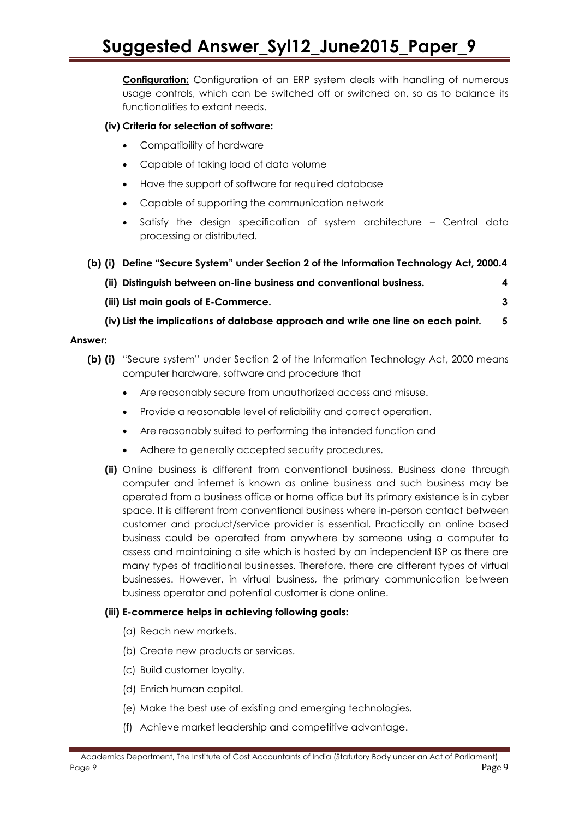**Configuration:** Configuration of an ERP system deals with handling of numerous usage controls, which can be switched off or switched on, so as to balance its functionalities to extant needs.

#### **(iv) Criteria for selection of software:**

- Compatibility of hardware
- Capable of taking load of data volume
- Have the support of software for required database
- Capable of supporting the communication network
- Satisfy the design specification of system architecture Central data processing or distributed.

### **(b) (i) Define "Secure System" under Section 2 of the Information Technology Act, 2000.4**

| (ii) Distinguish between on-line business and conventional business. |  |
|----------------------------------------------------------------------|--|

- **(iii) List main goals of E-Commerce. 3**
- **(iv) List the implications of database approach and write one line on each point. 5**

#### **Answer:**

- **(b) (i)** "Secure system" under Section 2 of the Information Technology Act, 2000 means computer hardware, software and procedure that
	- Are reasonably secure from unauthorized access and misuse.
	- Provide a reasonable level of reliability and correct operation.
	- Are reasonably suited to performing the intended function and
	- Adhere to generally accepted security procedures.
	- **(ii)** Online business is different from conventional business. Business done through computer and internet is known as online business and such business may be operated from a business office or home office but its primary existence is in cyber space. It is different from conventional business where in-person contact between customer and product/service provider is essential. Practically an online based business could be operated from anywhere by someone using a computer to assess and maintaining a site which is hosted by an independent ISP as there are many types of traditional businesses. Therefore, there are different types of virtual businesses. However, in virtual business, the primary communication between business operator and potential customer is done online.

#### **(iii) E-commerce helps in achieving following goals:**

- (a) Reach new markets.
- (b) Create new products or services.
- (c) Build customer loyalty.
- (d) Enrich human capital.
- (e) Make the best use of existing and emerging technologies.
- (f) Achieve market leadership and competitive advantage.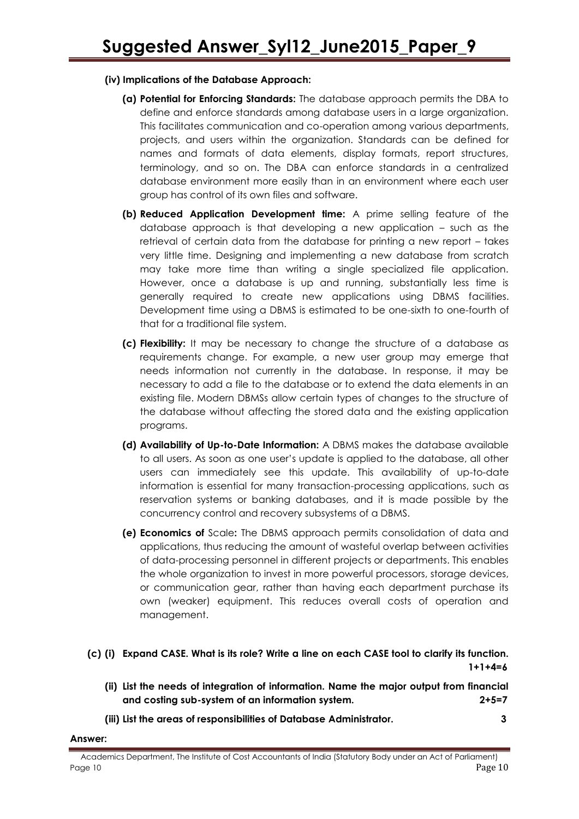#### **(iv) Implications of the Database Approach:**

- **(a) Potential for Enforcing Standards:** The database approach permits the DBA to define and enforce standards among database users in a large organization. This facilitates communication and co-operation among various departments, projects, and users within the organization. Standards can be defined for names and formats of data elements, display formats, report structures, terminology, and so on. The DBA can enforce standards in a centralized database environment more easily than in an environment where each user group has control of its own files and software.
- **(b) Reduced Application Development time:** A prime selling feature of the database approach is that developing a new application  $-$  such as the retrieval of certain data from the database for printing a new report – takes very little time. Designing and implementing a new database from scratch may take more time than writing a single specialized file application. However, once a database is up and running, substantially less time is generally required to create new applications using DBMS facilities. Development time using a DBMS is estimated to be one-sixth to one-fourth of that for a traditional file system.
- **(c) Flexibility:** It may be necessary to change the structure of a database as requirements change. For example, a new user group may emerge that needs information not currently in the database. In response, it may be necessary to add a file to the database or to extend the data elements in an existing file. Modern DBMSs allow certain types of changes to the structure of the database without affecting the stored data and the existing application programs.
- **(d) Availability of Up-to-Date Information:** A DBMS makes the database available to all users. As soon as one user"s update is applied to the database, all other users can immediately see this update. This availability of up-to-date information is essential for many transaction-processing applications, such as reservation systems or banking databases, and it is made possible by the concurrency control and recovery subsystems of a DBMS.
- **(e) Economics of** Scale**:** The DBMS approach permits consolidation of data and applications, thus reducing the amount of wasteful overlap between activities of data-processing personnel in different projects or departments. This enables the whole organization to invest in more powerful processors, storage devices, or communication gear, rather than having each department purchase its own (weaker) equipment. This reduces overall costs of operation and management.
- **(c) (i) Expand CASE. What is its role? Write a line on each CASE tool to clarify its function. 1+1+4=6**
	- **(ii) List the needs of integration of information. Name the major output from financial and costing sub-system of an information system. 2+5=7**
	- **(iii) List the areas of responsibilities of Database Administrator. 3**

#### **Answer:**